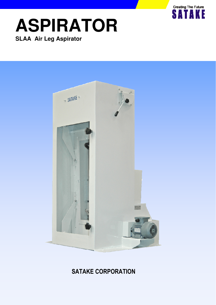

# **ASPIRATOR SLAA Air Leg Aspirator**



# SATAKE CORPORATION